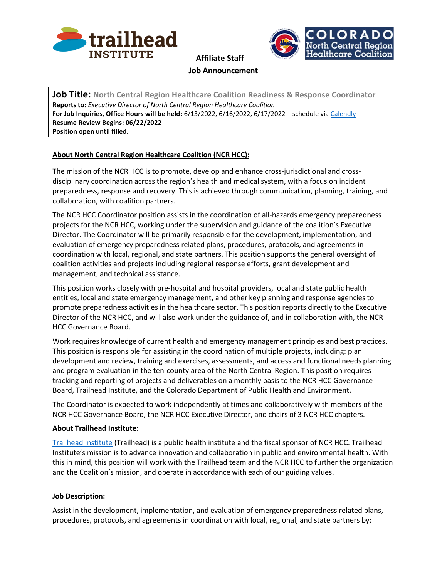



**Job Title: North Central Region Healthcare Coalition Readiness & Response Coordinator Reports to:** *Executive Director of North Central Region Healthcare Coalition* **For Job Inquiries, Office Hours will be held:** 6/13/2022, 6/16/2022, 6/17/2022 – schedule via [Calendly](https://calendly.com/trailheadinstitute/ncr-hcc-coordinator-q-a) **Resume Review Begins: 06/22/2022 Position open until filled.**

# **About North Central Region Healthcare Coalition (NCR HCC):**

The mission of the NCR HCC is to promote, develop and enhance cross-jurisdictional and crossdisciplinary coordination across the region's health and medical system, with a focus on incident preparedness, response and recovery. This is achieved through communication, planning, training, and collaboration, with coalition partners.

The NCR HCC Coordinator position assists in the coordination of all-hazards emergency preparedness projects for the NCR HCC, working under the supervision and guidance of the coalition's Executive Director. The Coordinator will be primarily responsible for the development, implementation, and evaluation of emergency preparedness related plans, procedures, protocols, and agreements in coordination with local, regional, and state partners. This position supports the general oversight of coalition activities and projects including regional response efforts, grant development and management, and technical assistance.

This position works closely with pre-hospital and hospital providers, local and state public health entities, local and state emergency management, and other key planning and response agencies to promote preparedness activities in the healthcare sector. This position reports directly to the Executive Director of the NCR HCC, and will also work under the guidance of, and in collaboration with, the NCR HCC Governance Board.

Work requires knowledge of current health and emergency management principles and best practices. This position is responsible for assisting in the coordination of multiple projects, including: plan development and review, training and exercises, assessments, and access and functional needs planning and program evaluation in the ten-county area of the North Central Region. This position requires tracking and reporting of projects and deliverables on a monthly basis to the NCR HCC Governance Board, Trailhead Institute, and the Colorado Department of Public Health and Environment.

The Coordinator is expected to work independently at times and collaboratively with members of the NCR HCC Governance Board, the NCR HCC Executive Director, and chairs of 3 NCR HCC chapters.

## **About Trailhead Institute:**

[Trailhead Institute](http://www.trailhead.institute/) (Trailhead) is a public health institute and the fiscal sponsor of NCR HCC. Trailhead Institute's mission is to advance innovation and collaboration in public and environmental health. With this in mind, this position will work with the Trailhead team and the NCR HCC to further the organization and the Coalition's mission, and operate in accordance with each of our guiding values.

## **Job Description:**

Assist in the development, implementation, and evaluation of emergency preparedness related plans, procedures, protocols, and agreements in coordination with local, regional, and state partners by: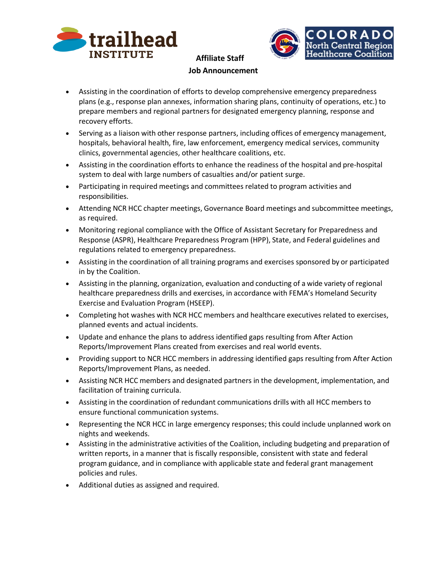



- Assisting in the coordination of efforts to develop comprehensive emergency preparedness plans (e.g., response plan annexes, information sharing plans, continuity of operations, etc.) to prepare members and regional partners for designated emergency planning, response and recovery efforts.
- Serving as a liaison with other response partners, including offices of emergency management, hospitals, behavioral health, fire, law enforcement, emergency medical services, community clinics, governmental agencies, other healthcare coalitions, etc.
- Assisting in the coordination efforts to enhance the readiness of the hospital and pre-hospital system to deal with large numbers of casualties and/or patient surge.
- Participating in required meetings and committees related to program activities and responsibilities.
- Attending NCR HCC chapter meetings, Governance Board meetings and subcommittee meetings, as required.
- Monitoring regional compliance with the Office of Assistant Secretary for Preparedness and Response (ASPR), Healthcare Preparedness Program (HPP), State, and Federal guidelines and regulations related to emergency preparedness.
- Assisting in the coordination of all training programs and exercises sponsored by or participated in by the Coalition.
- Assisting in the planning, organization, evaluation and conducting of a wide variety of regional healthcare preparedness drills and exercises, in accordance with FEMA's Homeland Security Exercise and Evaluation Program (HSEEP).
- Completing hot washes with NCR HCC members and healthcare executives related to exercises, planned events and actual incidents.
- Update and enhance the plans to address identified gaps resulting from After Action Reports/Improvement Plans created from exercises and real world events.
- Providing support to NCR HCC members in addressing identified gaps resulting from After Action Reports/Improvement Plans, as needed.
- Assisting NCR HCC members and designated partners in the development, implementation, and facilitation of training curricula.
- Assisting in the coordination of redundant communications drills with all HCC members to ensure functional communication systems.
- Representing the NCR HCC in large emergency responses; this could include unplanned work on nights and weekends.
- Assisting in the administrative activities of the Coalition, including budgeting and preparation of written reports, in a manner that is fiscally responsible, consistent with state and federal program guidance, and in compliance with applicable state and federal grant management policies and rules.
- Additional duties as assigned and required.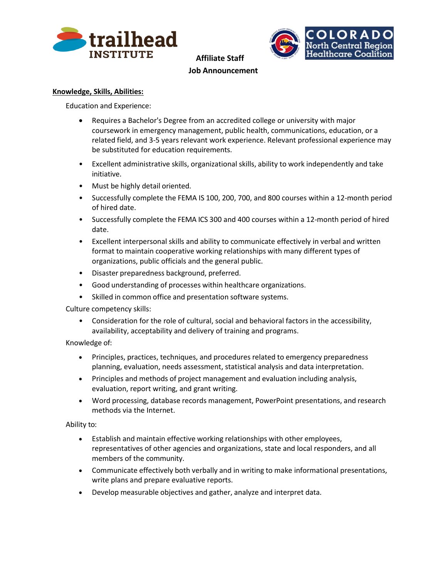



## **Knowledge, Skills, Abilities:**

Education and Experience:

- Requires a Bachelor's Degree from an accredited college or university with major coursework in emergency management, public health, communications, education, or a related field, and 3-5 years relevant work experience. Relevant professional experience may be substituted for education requirements.
- Excellent administrative skills, organizational skills, ability to work independently and take initiative.
- Must be highly detail oriented.
- Successfully complete the FEMA IS 100, 200, 700, and 800 courses within a 12-month period of hired date.
- Successfully complete the FEMA ICS 300 and 400 courses within a 12-month period of hired date.
- Excellent interpersonal skills and ability to communicate effectively in verbal and written format to maintain cooperative working relationships with many different types of organizations, public officials and the general public.
- Disaster preparedness background, preferred.
- Good understanding of processes within healthcare organizations.
- Skilled in common office and presentation software systems.

Culture competency skills:

• Consideration for the role of cultural, social and behavioral factors in the accessibility, availability, acceptability and delivery of training and programs.

Knowledge of:

- Principles, practices, techniques, and procedures related to emergency preparedness planning, evaluation, needs assessment, statistical analysis and data interpretation.
- Principles and methods of project management and evaluation including analysis, evaluation, report writing, and grant writing.
- Word processing, database records management, PowerPoint presentations, and research methods via the Internet.

Ability to:

- Establish and maintain effective working relationships with other employees, representatives of other agencies and organizations, state and local responders, and all members of the community.
- Communicate effectively both verbally and in writing to make informational presentations, write plans and prepare evaluative reports.
- Develop measurable objectives and gather, analyze and interpret data.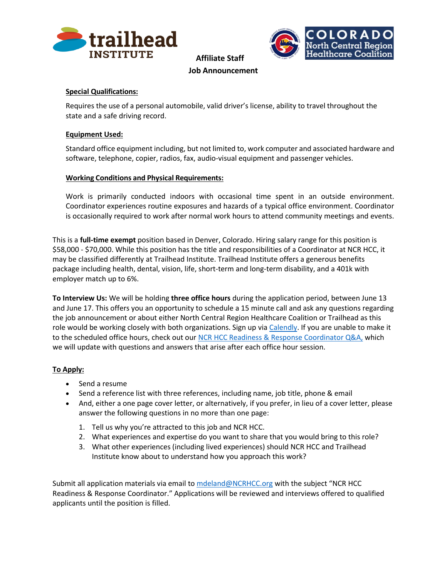



# **Special Qualifications:**

Requires the use of a personal automobile, valid driver's license, ability to travel throughout the state and a safe driving record.

## **Equipment Used:**

Standard office equipment including, but not limited to, work computer and associated hardware and software, telephone, copier, radios, fax, audio-visual equipment and passenger vehicles.

## **Working Conditions and Physical Requirements:**

Work is primarily conducted indoors with occasional time spent in an outside environment. Coordinator experiences routine exposures and hazards of a typical office environment. Coordinator is occasionally required to work after normal work hours to attend community meetings and events.

This is a **full-time exempt** position based in Denver, Colorado. Hiring salary range for this position is \$58,000 - \$70,000. While this position has the title and responsibilities of a Coordinator at NCR HCC, it may be classified differently at Trailhead Institute. Trailhead Institute offers a generous benefits package including health, dental, vision, life, short-term and long-term disability, and a 401k with employer match up to 6%.

**To Interview Us:** We will be holding **three office hours** during the application period, between June 13 and June 17. This offers you an opportunity to schedule a 15 minute call and ask any questions regarding the job announcement or about either North Central Region Healthcare Coalition or Trailhead as this role would be working closely with both organizations. Sign up via [Calendly.](https://calendly.com/trailheadinstitute/ncr-hcc-coordinator-q-a) If you are unable to make it to the scheduled office hours, check out ou[r NCR HCC Readiness & Response Coordinator Q&A,](https://docs.google.com/document/d/1IhXzosYMHuJ_gZQ_MqVZ9dQss9Vg1KIZyM-0UHG3ueI/edit?usp=sharing) which we will update with questions and answers that arise after each office hour session.

## **To Apply:**

- Send a resume
- Send a reference list with three references, including name, job title, phone & email
- And, either a one page cover letter, or alternatively, if you prefer, in lieu of a cover letter, please answer the following questions in no more than one page:
	- 1. Tell us why you're attracted to this job and NCR HCC.
	- 2. What experiences and expertise do you want to share that you would bring to this role?
	- 3. What other experiences (including lived experiences) should NCR HCC and Trailhead Institute know about to understand how you approach this work?

Submit all application materials via email to [mdeland@NCRHCC.org](mailto:mdeland@NCRHCC.org) with the subject "NCR HCC Readiness & Response Coordinator." Applications will be reviewed and interviews offered to qualified applicants until the position is filled.